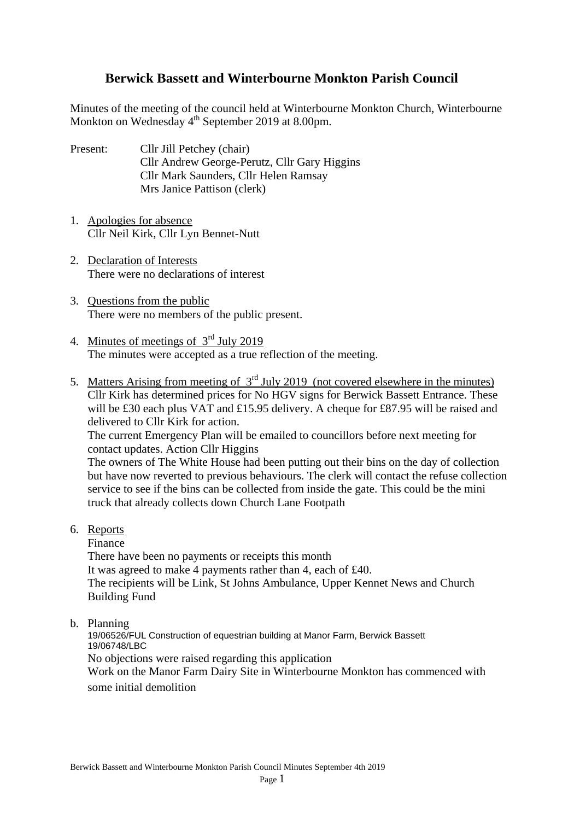# **Berwick Bassett and Winterbourne Monkton Parish Council**

Minutes of the meeting of the council held at Winterbourne Monkton Church, Winterbourne Monkton on Wednesday 4<sup>th</sup> September 2019 at 8.00pm.

- Present: Cllr Jill Petchey (chair) Cllr Andrew George-Perutz, Cllr Gary Higgins Cllr Mark Saunders, Cllr Helen Ramsay Mrs Janice Pattison (clerk)
- 1. Apologies for absence Cllr Neil Kirk, Cllr Lyn Bennet-Nutt
- 2. Declaration of Interests There were no declarations of interest
- 3. Questions from the public There were no members of the public present.
- 4. Minutes of meetings of 3rd July 2019 The minutes were accepted as a true reflection of the meeting.
- 5. Matters Arising from meeting of  $3<sup>rd</sup>$  July 2019 (not covered elsewhere in the minutes) Cllr Kirk has determined prices for No HGV signs for Berwick Bassett Entrance. These will be £30 each plus VAT and £15.95 delivery. A cheque for £87.95 will be raised and delivered to Cllr Kirk for action.

The current Emergency Plan will be emailed to councillors before next meeting for contact updates. Action Cllr Higgins

The owners of The White House had been putting out their bins on the day of collection but have now reverted to previous behaviours. The clerk will contact the refuse collection service to see if the bins can be collected from inside the gate. This could be the mini truck that already collects down Church Lane Footpath

6. Reports

Finance

There have been no payments or receipts this month It was agreed to make 4 payments rather than 4, each of £40. The recipients will be Link, St Johns Ambulance, Upper Kennet News and Church Building Fund

b. Planning

19/06526/FUL Construction of equestrian building at Manor Farm, Berwick Bassett 19/06748/LBC No objections were raised regarding this application Work on the Manor Farm Dairy Site in Winterbourne Monkton has commenced with some initial demolition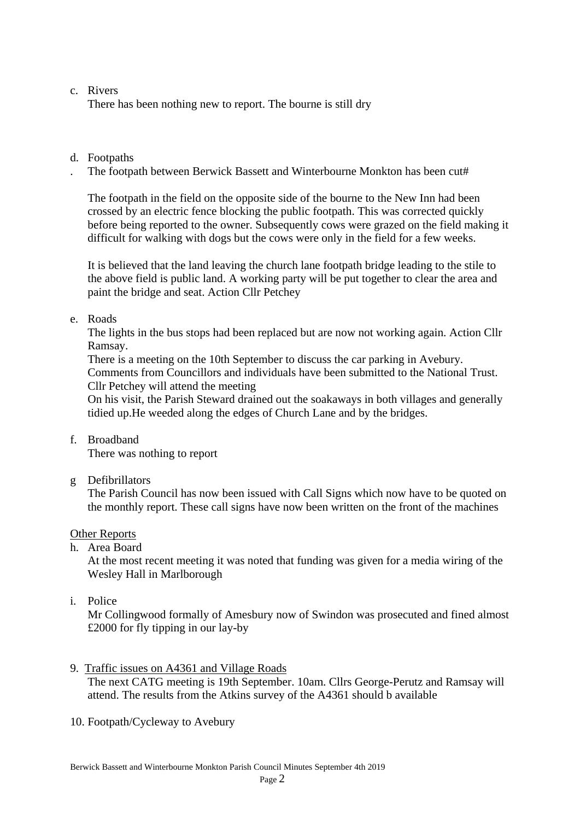# c. Rivers

There has been nothing new to report. The bourne is still dry

# d. Footpaths

The footpath between Berwick Bassett and Winterbourne Monkton has been cut#

 The footpath in the field on the opposite side of the bourne to the New Inn had been crossed by an electric fence blocking the public footpath. This was corrected quickly before being reported to the owner. Subsequently cows were grazed on the field making it difficult for walking with dogs but the cows were only in the field for a few weeks.

It is believed that the land leaving the church lane footpath bridge leading to the stile to the above field is public land. A working party will be put together to clear the area and paint the bridge and seat. Action Cllr Petchey

## e. Roads

The lights in the bus stops had been replaced but are now not working again. Action Cllr Ramsay.

There is a meeting on the 10th September to discuss the car parking in Avebury. Comments from Councillors and individuals have been submitted to the National Trust. Cllr Petchey will attend the meeting

On his visit, the Parish Steward drained out the soakaways in both villages and generally tidied up.He weeded along the edges of Church Lane and by the bridges.

f. Broadband

There was nothing to report

g Defibrillators

The Parish Council has now been issued with Call Signs which now have to be quoted on the monthly report. These call signs have now been written on the front of the machines

## Other Reports

h. Area Board

 At the most recent meeting it was noted that funding was given for a media wiring of the Wesley Hall in Marlborough

i. Police

 Mr Collingwood formally of Amesbury now of Swindon was prosecuted and fined almost £2000 for fly tipping in our lay-by

- 9. Traffic issues on A4361 and Village Roads The next CATG meeting is 19th September. 10am. Cllrs George-Perutz and Ramsay will attend. The results from the Atkins survey of the A4361 should b available
- 10. Footpath/Cycleway to Avebury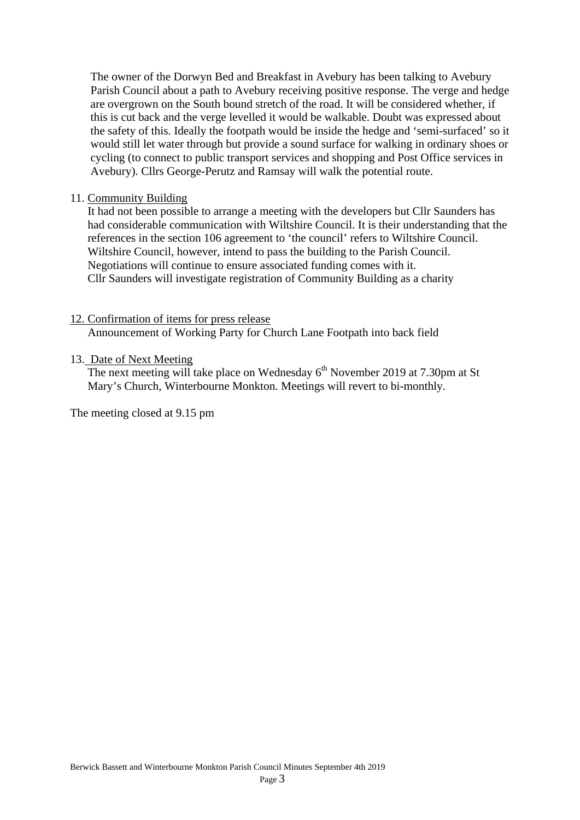The owner of the Dorwyn Bed and Breakfast in Avebury has been talking to Avebury Parish Council about a path to Avebury receiving positive response. The verge and hedge are overgrown on the South bound stretch of the road. It will be considered whether, if this is cut back and the verge levelled it would be walkable. Doubt was expressed about the safety of this. Ideally the footpath would be inside the hedge and 'semi-surfaced' so it would still let water through but provide a sound surface for walking in ordinary shoes or cycling (to connect to public transport services and shopping and Post Office services in Avebury). Cllrs George-Perutz and Ramsay will walk the potential route.

#### 11. Community Building

It had not been possible to arrange a meeting with the developers but Cllr Saunders has had considerable communication with Wiltshire Council. It is their understanding that the references in the section 106 agreement to 'the council' refers to Wiltshire Council. Wiltshire Council, however, intend to pass the building to the Parish Council. Negotiations will continue to ensure associated funding comes with it. Cllr Saunders will investigate registration of Community Building as a charity

#### 12. Confirmation of items for press release

Announcement of Working Party for Church Lane Footpath into back field

#### 13. Date of Next Meeting

The next meeting will take place on Wednesday  $6<sup>th</sup>$  November 2019 at 7.30pm at St Mary's Church, Winterbourne Monkton. Meetings will revert to bi-monthly.

The meeting closed at 9.15 pm